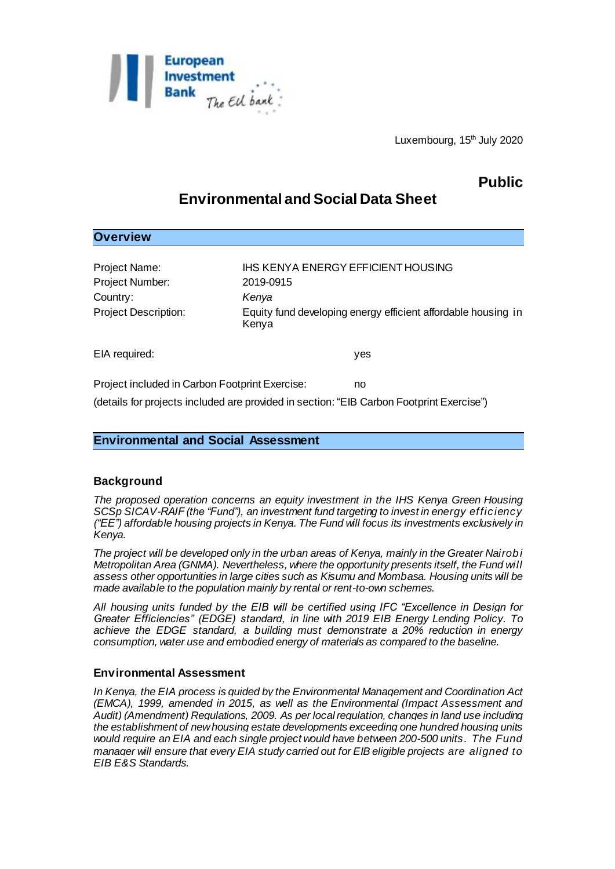

# **Public**

# **Environmental and Social Data Sheet**

# **Overview**

| Project Name:<br>Project Number:<br>Country:<br><b>Project Description:</b>                                                                      | IHS KENYA ENERGY EFFICIENT HOUSING<br>2019-0915<br>Kenya<br>Equity fund developing energy efficient affordable housing in<br>Kenya |
|--------------------------------------------------------------------------------------------------------------------------------------------------|------------------------------------------------------------------------------------------------------------------------------------|
| EIA required:                                                                                                                                    | yes                                                                                                                                |
| Project included in Carbon Footprint Exercise:<br>no<br>(details for projects included are provided in section: "EIB Carbon Footprint Exercise") |                                                                                                                                    |

# **Environmental and Social Assessment**

# **Background**

*The proposed operation concerns an equity investment in the IHS Kenya Green Housing SCSp SICAV-RAIF (the "Fund"), an investment fund targeting to invest in energy efficiency ("EE") affordable housing projects in Kenya. The Fund will focus its investments exclusively in Kenya.* 

*The project will be developed only in the urban areas of Kenya, mainly in the Greater Nairobi Metropolitan Area (GNMA). Nevertheless, where the opportunity presents itself, the Fund will assess other opportunities in large cities such as Kisumu and Mombasa. Housing units will be made available to the population mainly by rental or rent-to-own schemes.*

*All housing units funded by the EIB will be certified using IFC "Excellence in Design for Greater Efficiencies" (EDGE) standard, in line with 2019 EIB Energy Lending Policy. To achieve the EDGE standard, a building must demonstrate a 20% reduction in energy consumption, water use and embodied energy of materials as compared to the baseline.* 

### **Environmental Assessment**

*In Kenya, the EIA process is guided by the Environmental Management and Coordination Act (EMCA), 1999, amended in 2015, as well as the Environmental (Impact Assessment and Audit) (Amendment) Regulations, 2009. As per local regulation, changes in land use including the establishment of new housing estate developments exceeding one hundred housing units would require an EIA and each single project would have between 200-500 units. The Fund manager will ensure that every EIA study carried out for EIB eligible projects are aligned to EIB E&S Standards.*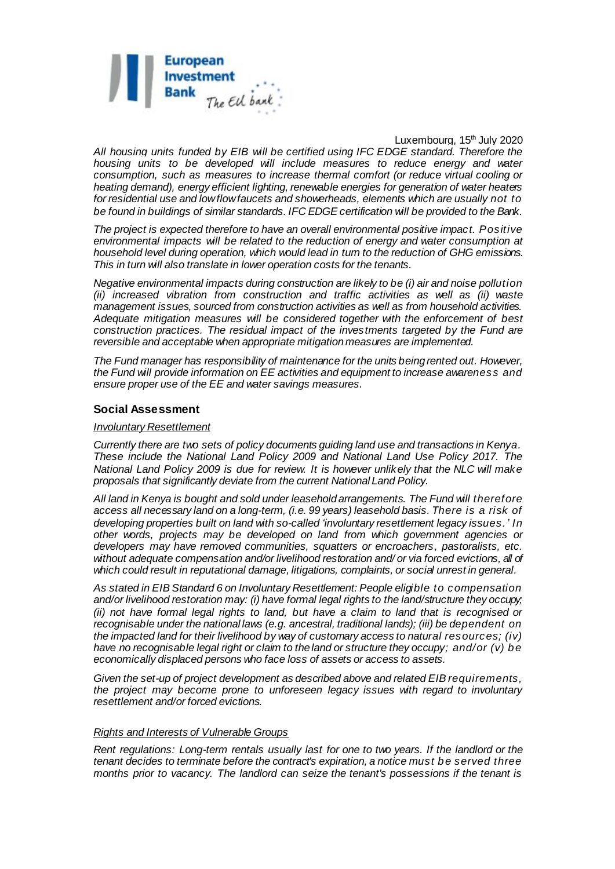

*All housing units funded by EIB will be certified using IFC EDGE standard. Therefore the housing units to be developed will include measures to reduce energy and water consumption, such as measures to increase thermal comfort (or reduce virtual cooling or heating demand), energy efficient lighting, renewable energies for generation of water heaters for residential use and low flow faucets and showerheads, elements which are usually not to be found in buildings of similar standards. IFC EDGE certification will be provided to the Bank.* 

*The project is expected therefore to have an overall environmental positive impact. Positive environmental impacts will be related to the reduction of energy and water consumption at household level during operation, which would lead in turn to the reduction of GHG emissions. This in turn will also translate in lower operation costs for the tenants.* 

*Negative environmental impacts during construction are likely to be (i) air and noise pollution (ii) increased vibration from construction and traffic activities as well as (ii) waste management issues, sourced from construction activities as well as from household activities. Adequate mitigation measures will be considered together with the enforcement of best construction practices. The residual impact of the investments targeted by the Fund are reversible and acceptable when appropriate mitigation measures are implemented.*

*The Fund manager has responsibility of maintenance for the units being rented out. However, the Fund will provide information on EE activities and equipment to increase awareness and ensure proper use of the EE and water savings measures.*

#### **Social Assessment**

#### *Involuntary Resettlement*

*Currently there are two sets of policy documents guiding land use and transactions in Kenya. These include the National Land Policy 2009 and National Land Use Policy 2017. The National Land Policy 2009 is due for review. It is however unlikely that the NLC will make proposals that significantly deviate from the current National Land Policy.*

*All land in Kenya is bought and sold under leasehold arrangements. The Fund will therefore access all necessary land on a long-term, (i.e. 99 years) leasehold basis. There is a risk of developing properties built on land with so-called 'involuntary resettlement legacy issues.' In other words, projects may be developed on land from which government agencies or developers may have removed communities, squatters or encroachers, pastoralists, etc. without adequate compensation and/or livelihood restoration and/ or via forced evictions, all of which could result in reputational damage, litigations, complaints, or social unrest in general.*

*As stated in EIB Standard 6 on Involuntary Resettlement: People eligible to compensation and/or livelihood restoration may: (i) have formal legal rights to the land/structure they occupy; (ii) not have formal legal rights to land, but have a claim to land that is recognised or recognisable under the national laws (e.g. ancestral, traditional lands); (iii) be dependent on the impacted land for their livelihood by way of customary access to natural resources; (iv) have no recognisable legal right or claim to the land or structure they occupy; and/or (v) be economically displaced persons who face loss of assets or access to assets.*

*Given the set-up of project development as described above and related EIB requirements, the project may become prone to unforeseen legacy issues with regard to involuntary resettlement and/or forced evictions.*

#### *Rights and Interests of Vulnerable Groups*

*Rent regulations: Long-term rentals usually last for one to two years. If the landlord or the tenant decides to terminate before the contract's expiration, a notice must be served three months prior to vacancy. The landlord can seize the tenant's possessions if the tenant is*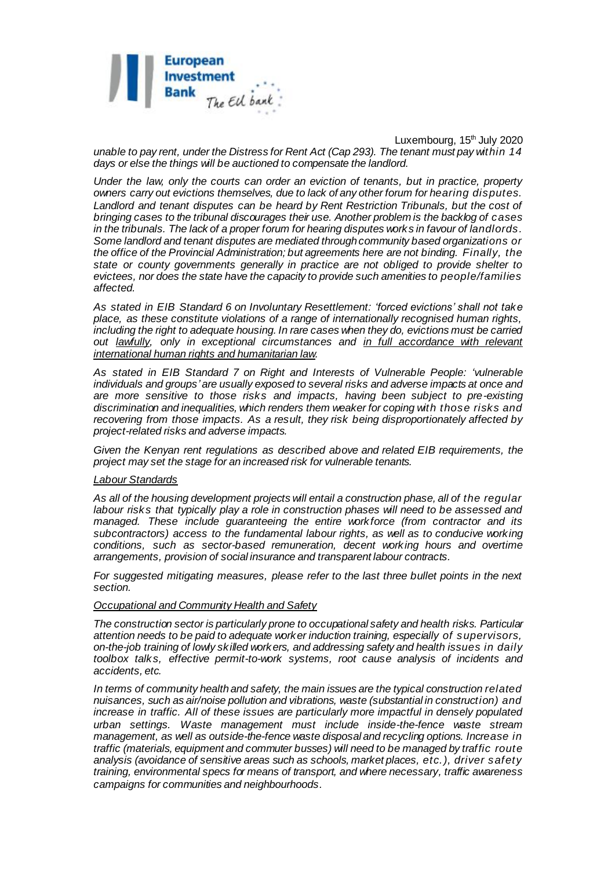

Luxembourg,  $15<sup>th</sup>$  July 2020 *unable to pay rent, under the Distress for Rent Act (Cap 293). The tenant must pay within 14 days or else the things will be auctioned to compensate the landlord.*

*Under the law, only the courts can order an eviction of tenants, but in practice, property owners carry out evictions themselves, due to lack of any other forum for hearing disputes.*  Landlord and tenant disputes can be heard by Rent Restriction Tribunals, but the cost of *bringing cases to the tribunal discourages their use. Another problem is the backlog of cases in the tribunals. The lack of a proper forum for hearing disputes works in favour of landlords. Some landlord and tenant disputes are mediated through community based organizations or the office of the Provincial Administration; but agreements here are not binding. Finally, the state or county governments generally in practice are not obliged to provide shelter to evictees, nor does the state have the capacity to provide such amenities to people/families affected.*

*As stated in EIB Standard 6 on Involuntary Resettlement: 'forced evictions' shall not take place, as these constitute violations of a range of internationally recognised human rights, including the right to adequate housing. In rare cases when they do, evictions must be carried out lawfully, only in exceptional circumstances and in full accordance with relevant international human rights and humanitarian law.*

*As stated in EIB Standard 7 on Right and Interests of Vulnerable People: 'vulnerable individuals and groups' are usually exposed to several risks and adverse impacts at once and are more sensitive to those risks and impacts, having been subject to pre-existing discrimination and inequalities, which renders them weaker for coping with those risks and recovering from those impacts. As a result, they risk being disproportionately affected by project-related risks and adverse impacts.*

*Given the Kenyan rent regulations as described above and related EIB requirements, the project may set the stage for an increased risk for vulnerable tenants.*

### *Labour Standards*

*As all of the housing development projects will entail a construction phase, all of the regular labour risks that typically play a role in construction phases will need to be assessed and managed. These include guaranteeing the entire workforce (from contractor and its subcontractors) access to the fundamental labour rights, as well as to conducive working conditions, such as sector-based remuneration, decent working hours and overtime arrangements, provision of social insurance and transparent labour contracts.*

For suggested mitigating measures, please refer to the last three bullet points in the next *section.*

#### *Occupational and Community Health and Safety*

*The construction sector is particularly prone to occupational safety and health risks. Particular attention needs to be paid to adequate worker induction training, especially of supervisors, on-the-job training of lowly skilled workers, and addressing safety and health issues in daily toolbox talks, effective permit-to-work systems, root cause analysis of incidents and accidents, etc.*

*In terms of community health and safety, the main issues are the typical construction related nuisances, such as air/noise pollution and vibrations, waste (substantial in construction) and increase in traffic. All of these issues are particularly more impactful in densely populated urban settings. Waste management must include inside-the-fence waste stream management, as well as outside-the-fence waste disposal and recycling options. Increase in traffic (materials, equipment and commuter busses) will need to be managed by traffic route analysis (avoidance of sensitive areas such as schools, market places, etc.), driver safety training, environmental specs for means of transport, and where necessary, traffic awareness campaigns for communities and neighbourhoods.*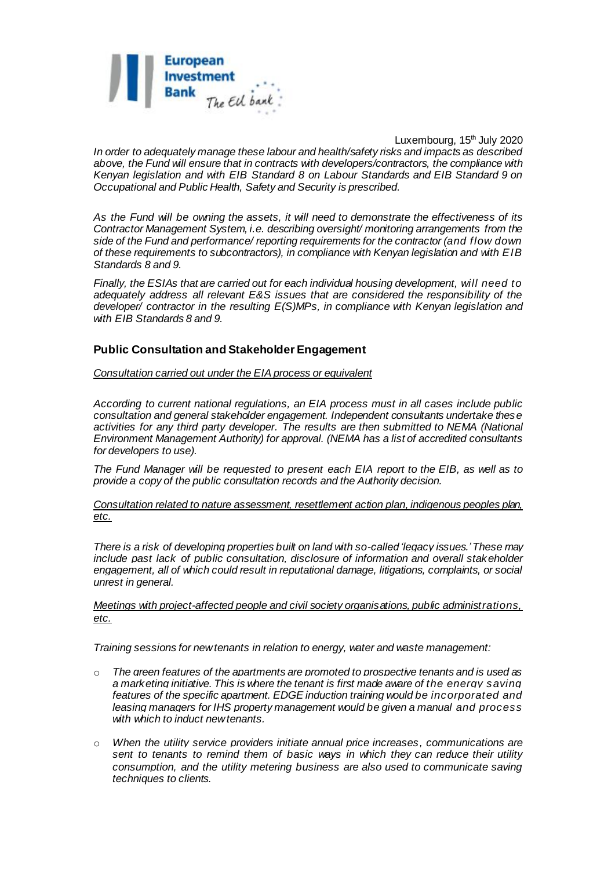

Luxembourg, 15<sup>th</sup> July 2020 *In order to adequately manage these labour and health/safety risks and impacts as described above, the Fund will ensure that in contracts with developers/contractors, the compliance with Kenyan legislation and with EIB Standard 8 on Labour Standards and EIB Standard 9 on Occupational and Public Health, Safety and Security is prescribed.*

*As the Fund will be owning the assets, it will need to demonstrate the effectiveness of its Contractor Management System, i.e. describing oversight/ monitoring arrangements from the side of the Fund and performance/ reporting requirements for the contractor (and flow down of these requirements to subcontractors), in compliance with Kenyan legislation and with EIB Standards 8 and 9.*

*Finally, the ESIAs that are carried out for each individual housing development, will need to adequately address all relevant E&S issues that are considered the responsibility of the developer/ contractor in the resulting E(S)MPs, in compliance with Kenyan legislation and with EIB Standards 8 and 9.*

## **Public Consultation and Stakeholder Engagement**

*Consultation carried out under the EIA process or equivalent*

*According to current national regulations, an EIA process must in all cases include public consultation and general stakeholder engagement. Independent consultants undertake these activities for any third party developer. The results are then submitted to NEMA (National Environment Management Authority) for approval. (NEMA has a list of accredited consultants for developers to use).*

*The Fund Manager will be requested to present each EIA report to the EIB, as well as to provide a copy of the public consultation records and the Authority decision.*

*Consultation related to nature assessment, resettlement action plan, indigenous peoples plan, etc.*

*There is a risk of developing properties built on land with so-called 'legacy issues.' These may include past lack of public consultation, disclosure of information and overall stakeholder engagement, all of which could result in reputational damage, litigations, complaints, or social unrest in general.*

*Meetings with project-affected people and civil society organisations, public administrations, etc.*

*Training sessions for new tenants in relation to energy, water and waste management:*

- o *The green features of the apartments are promoted to prospective tenants and is used as a marketing initiative. This is where the tenant is first made aware of the energy saving features of the specific apartment. EDGE induction training would be incorporated and leasing managers for IHS property management would be given a manual and process with which to induct new tenants.*
- o *When the utility service providers initiate annual price increases, communications are sent to tenants to remind them of basic ways in which they can reduce their utility consumption, and the utility metering business are also used to communicate saving techniques to clients.*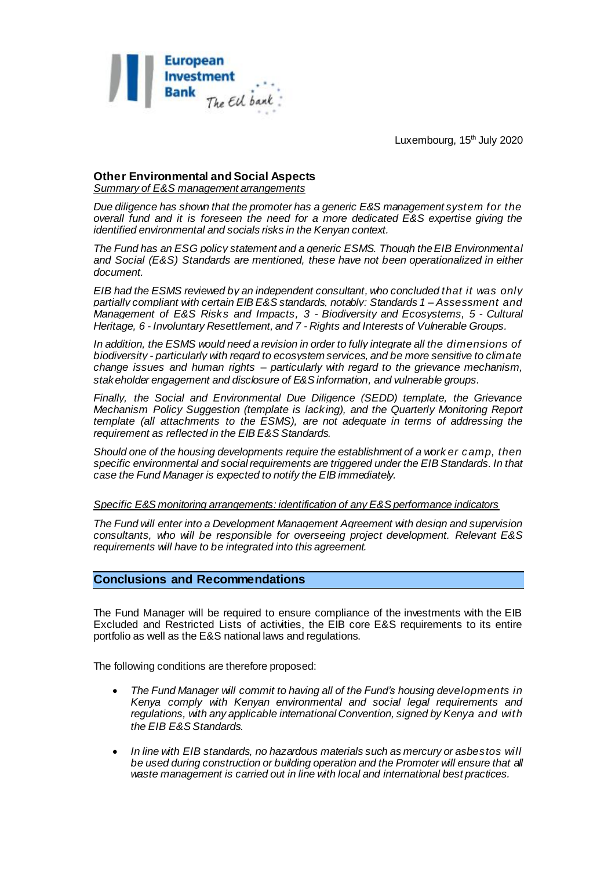

#### **Other Environmental and Social Aspects** *Summary of E&S management arrangements*

*Due diligence has shown that the promoter has a generic E&S management system for the overall fund and it is foreseen the need for a more dedicated E&S expertise giving the identified environmental and socials risks in the Kenyan context.*

*The Fund has an ESG policy statement and a generic ESMS. Though the EIB Environmental and Social (E&S) Standards are mentioned, these have not been operationalized in either document.*

*EIB had the ESMS reviewed by an independent consultant, who concluded that it was only partially compliant with certain EIB E&S standards, notably: Standards 1 – Assessment and Management of E&S Risks and Impacts, 3 - Biodiversity and Ecosystems, 5 - Cultural Heritage, 6 - Involuntary Resettlement, and 7 - Rights and Interests of Vulnerable Groups.*

*In addition, the ESMS would need a revision in order to fully integrate all the dimensions of biodiversity - particularly with regard to ecosystem services, and be more sensitive to climate change issues and human rights – particularly with regard to the grievance mechanism, stakeholder engagement and disclosure of E&S information, and vulnerable groups.*

*Finally, the Social and Environmental Due Diligence (SEDD) template, the Grievance Mechanism Policy Suggestion (template is lacking), and the Quarterly Monitoring Report template (all attachments to the ESMS), are not adequate in terms of addressing the requirement as reflected in the EIB E&S Standards.*

*Should one of the housing developments require the establishment of a work er camp, then specific environmental and social requirements are triggered under the EIB Standards. In that case the Fund Manager is expected to notify the EIB immediately.*

#### *Specific E&S monitoring arrangements: identification of any E&S performance indicators*

*The Fund will enter into a Development Management Agreement with design and supervision consultants, who will be responsible for overseeing project development. Relevant E&S requirements will have to be integrated into this agreement.*

## **Conclusions and Recommendations**

The Fund Manager will be required to ensure compliance of the investments with the EIB Excluded and Restricted Lists of activities, the EIB core E&S requirements to its entire portfolio as well as the E&S national laws and regulations.

The following conditions are therefore proposed:

- *The Fund Manager will commit to having all of the Fund's housing developments in Kenya comply with Kenyan environmental and social legal requirements and regulations, with any applicable international Convention, signed by Kenya and with the EIB E&S Standards.*
- *In line with EIB standards, no hazardous materials such as mercury or asbestos will be used during construction or building operation and the Promoter will ensure that all waste management is carried out in line with local and international best practices.*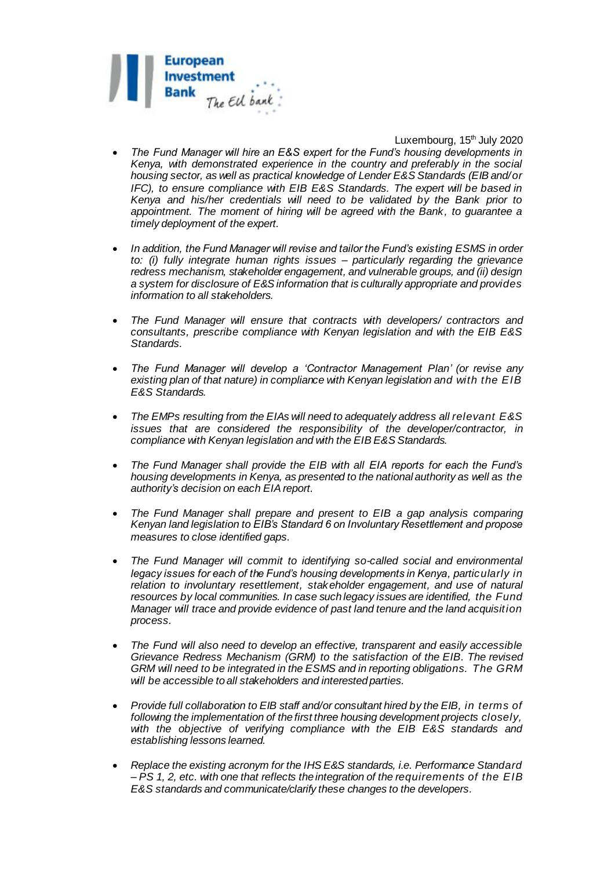

- *The Fund Manager will hire an E&S expert for the Fund's housing developments in Kenya, with demonstrated experience in the country and preferably in the social housing sector, as well as practical knowledge of Lender E&S Standards (EIB and/or IFC), to ensure compliance with EIB E&S Standards. The expert will be based in Kenya and his/her credentials will need to be validated by the Bank prior to appointment. The moment of hiring will be agreed with the Bank, to guarantee a timely deployment of the expert.*
- *In addition, the Fund Manager will revise and tailor the Fund's existing ESMS in order to: (i) fully integrate human rights issues – particularly regarding the grievance redress mechanism, stakeholder engagement, and vulnerable groups, and (ii) design a system for disclosure of E&S information that is culturally appropriate and provides information to all stakeholders.*
- *The Fund Manager will ensure that contracts with developers/ contractors and consultants, prescribe compliance with Kenyan legislation and with the EIB E&S Standards.*
- *The Fund Manager will develop a 'Contractor Management Plan' (or revise any existing plan of that nature) in compliance with Kenyan legislation and with the EIB E&S Standards.*
- *The EMPs resulting from the EIAs will need to adequately address all relevant E&S issues that are considered the responsibility of the developer/contractor, in compliance with Kenyan legislation and with the EIB E&S Standards.*
- *The Fund Manager shall provide the EIB with all EIA reports for each the Fund's housing developments in Kenya, as presented to the national authority as well as the authority's decision on each EIA report.*
- *The Fund Manager shall prepare and present to EIB a gap analysis comparing Kenyan land legislation to EIB's Standard 6 on Involuntary Resettlement and propose measures to close identified gaps.*
- *The Fund Manager will commit to identifying so-called social and environmental legacy issues for each of the Fund's housing developments in Kenya, particularly in relation to involuntary resettlement, stakeholder engagement, and use of natural resources by local communities. In case such legacy issues are identified, the Fund Manager will trace and provide evidence of past land tenure and the land acquisition process.*
- *The Fund will also need to develop an effective, transparent and easily accessible Grievance Redress Mechanism (GRM) to the satisfaction of the EIB. The revised GRM will need to be integrated in the ESMS and in reporting obligations. The GRM will be accessible to all stakeholders and interested parties.*
- *Provide full collaboration to EIB staff and/or consultant hired by the EIB, in terms of following the implementation of the first three housing development projects closely,*  with the objective of verifying compliance with the EIB E&S standards and *establishing lessons learned.*
- *Replace the existing acronym for the IHS E&S standards, i.e. Performance Standard – PS 1, 2, etc. with one that reflects the integration of the requirements of the EIB E&S standards and communicate/clarify these changes to the developers.*